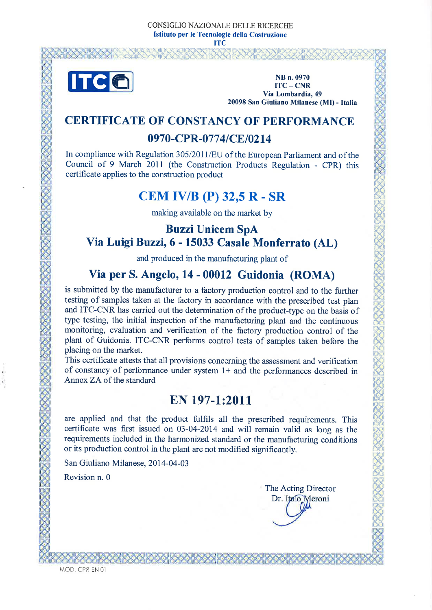

NB n. 0970  $ITC - CNR$ Via Lombardia, 49 20098 San Giuliano Milanese (MI) - Italia

### **CERTIFICATE OF CONSTANCY OF PERFORMANCE**

### 0970-CPR-0774/CE/0214

In compliance with Regulation 305/2011/EU of the European Parliament and of the Council of 9 March 2011 (the Construction Products Regulation - CPR) this certificate applies to the construction product

# **CEM IV/B (P) 32,5 R - SR**

making available on the market by

## **Buzzi Unicem SpA** Via Luigi Buzzi, 6 - 15033 Casale Monferrato (AL)

and produced in the manufacturing plant of

## Via per S. Angelo, 14 - 00012 Guidonia (ROMA)

is submitted by the manufacturer to a factory production control and to the further testing of samples taken at the factory in accordance with the prescribed test plan and ITC-CNR has carried out the determination of the product-type on the basis of type testing, the initial inspection of the manufacturing plant and the continuous monitoring, evaluation and verification of the factory production control of the plant of Guidonia. ITC-CNR performs control tests of samples taken before the placing on the market.

This certificate attests that all provisions concerning the assessment and verification of constancy of performance under system  $1+$  and the performances described in Annex ZA of the standard

# EN 197-1:2011

are applied and that the product fulfils all the prescribed requirements. This certificate was first issued on 03-04-2014 and will remain valid as long as the requirements included in the harmonized standard or the manufacturing conditions or its production control in the plant are not modified significantly.

San Giuliano Milanese, 2014-04-03

Revision n. 0

The Acting Director Dr. Italo Meroni

MOD. CPR-EN 01